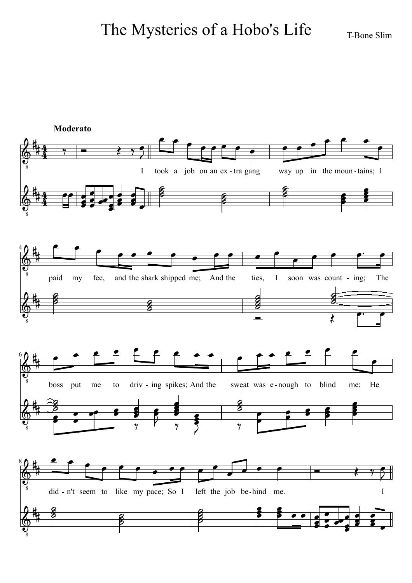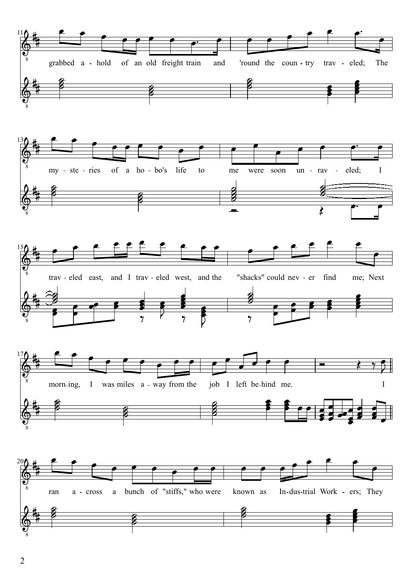